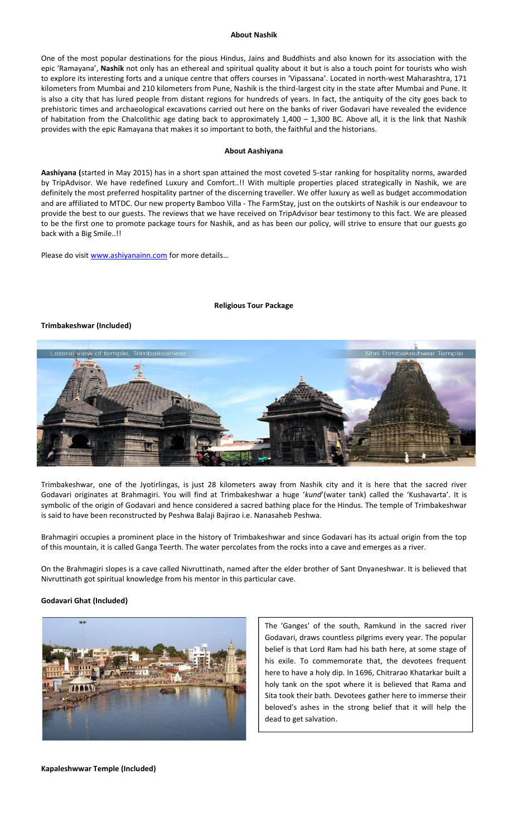### **About Nashik**

One of the most popular destinations for the pious Hindus, Jains and Buddhists and also known for its association with the epic 'Ramayana', **Nashik** not only has an ethereal and spiritual quality about it but is also a touch point for tourists who wish to explore its interesting forts and a unique centre that offers courses in 'Vipassana'. Located in north-west Maharashtra, 171 kilometers from Mumbai and 210 kilometers from Pune, Nashik is the third-largest city in the state after Mumbai and Pune. It is also a city that has lured people from distant regions for hundreds of years. In fact, the antiquity of the city goes back to prehistoric times and archaeological excavations carried out here on the banks of river Godavari have revealed the evidence of habitation from the Chalcolithic age dating back to approximately 1,400 – 1,300 BC. Above all, it is the link that Nashik provides with the epic Ramayana that makes it so important to both, the faithful and the historians.

#### **About Aashiyana**

**Aashiyana (**started in May 2015) has in a short span attained the most coveted 5-star ranking for hospitality norms, awarded by TripAdvisor. We have redefined Luxury and Comfort..!! With multiple properties placed strategically in Nashik, we are definitely the most preferred hospitality partner of the discerning traveller. We offer luxury as well as budget accommodation and are affiliated to MTDC. Our new property Bamboo Villa - The FarmStay, just on the outskirts of Nashik is our endeavour to provide the best to our guests. The reviews that we have received on TripAdvisor bear testimony to this fact. We are pleased to be the first one to promote package tours for Nashik, and as has been our policy, will strive to ensure that our guests go back with a Big Smile..!!

Please do visit [www.ashiyanainn.com](http://www.ashiyanainn.com/) for more details...

#### **Religious Tour Package**

#### **Trimbakeshwar (Included)**



Trimbakeshwar, one of the Jyotirlingas, is just 28 kilometers away from Nashik city and it is here that the sacred river Godavari originates at Brahmagiri. You will find at Trimbakeshwar a huge '*kund*'(water tank) called the 'Kushavarta'. It is symbolic of the origin of Godavari and hence considered a sacred bathing place for the Hindus. The temple of Trimbakeshwar is said to have been reconstructed by Peshwa Balaji Bajirao i.e. Nanasaheb Peshwa.

Brahmagiri occupies a prominent place in the history of Trimbakeshwar and since Godavari has its actual origin from the top of this mountain, it is called Ganga Teerth. The water percolates from the rocks into a cave and emerges as a river.

On the Brahmagiri slopes is a cave called Nivruttinath, named after the elder brother of Sant Dnyaneshwar. It is believed that Nivruttinath got spiritual knowledge from his mentor in this particular cave.

## **Godavari Ghat (Included)**



The 'Ganges' of the south, Ramkund in the sacred river Godavari, draws countless pilgrims every year. The popular belief is that Lord Ram had his bath here, at some stage of his exile. To commemorate that, the devotees frequent here to have a holy dip. In 1696, Chitrarao Khatarkar built a holy tank on the spot where it is believed that Rama and Sita took their bath. Devotees gather here to immerse their beloved's ashes in the strong belief that it will help the dead to get salvation.

**Kapaleshwwar Temple (Included)**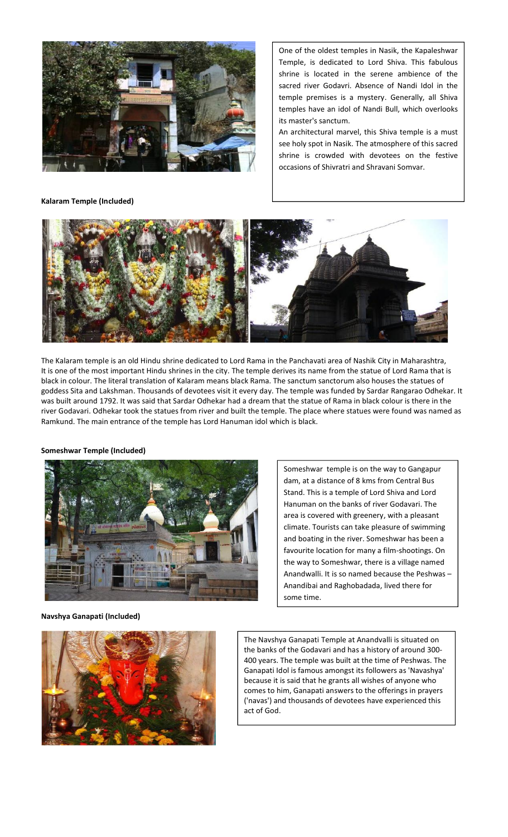

**Kalaram Temple (Included)**

One of the oldest temples in Nasik, the Kapaleshwar Temple, is dedicated to Lord Shiva. This fabulous shrine is located in the serene ambience of the sacred river Godavri. Absence of Nandi Idol in the temple premises is a mystery. Generally, all Shiva temples have an idol of Nandi Bull, which overlooks its master's sanctum.

An architectural marvel, this Shiva temple is a must see holy spot in Nasik. The atmosphere of this sacred shrine is crowded with devotees on the festive occasions of Shivratri and Shravani Somvar.



The Kalaram temple is an old Hindu shrine dedicated to Lord Rama in the Panchavati area of Nashik City in Maharashtra, It is one of the most important Hindu shrines in the city. The temple derives its name from the statue of Lord Rama that is black in colour. The literal translation of Kalaram means black Rama. The sanctum sanctorum also houses the statues of goddess Sita and Lakshman. Thousands of devotees visit it every day. The temple was funded by Sardar Rangarao Odhekar. It was built around 1792. It was said that Sardar Odhekar had a dream that the statue of Rama in black colour is there in the river Godavari. Odhekar took the statues from river and built the temple. The place where statues were found was named as Ramkund. The main entrance of the temple has Lord Hanuman idol which is black.

**Someshwar Temple (Included)**



Someshwar temple is on the way to Gangapur dam, at a distance of 8 kms from Central Bus Stand. This is a temple of Lord Shiva and Lord Hanuman on the banks of river Godavari. The area is covered with greenery, with a pleasant climate. Tourists can take pleasure of swimming and boating in the river. Someshwar has been a favourite location for many a film-shootings. On the way to Someshwar, there is a village named Anandwalli. It is so named because the Peshwas – Anandibai and Raghobadada, lived there for some time.

**Navshya Ganapati (Included)**



The Navshya Ganapati Temple at Anandvalli is situated on the banks of the Godavari and has a history of around 300- 400 years. The temple was built at the time of Peshwas. The Ganapati Idol is famous amongst its followers as 'Navashya' because it is said that he grants all wishes of anyone who comes to him, Ganapati answers to the offerings in prayers ('navas') and thousands of devotees have experienced this act of God.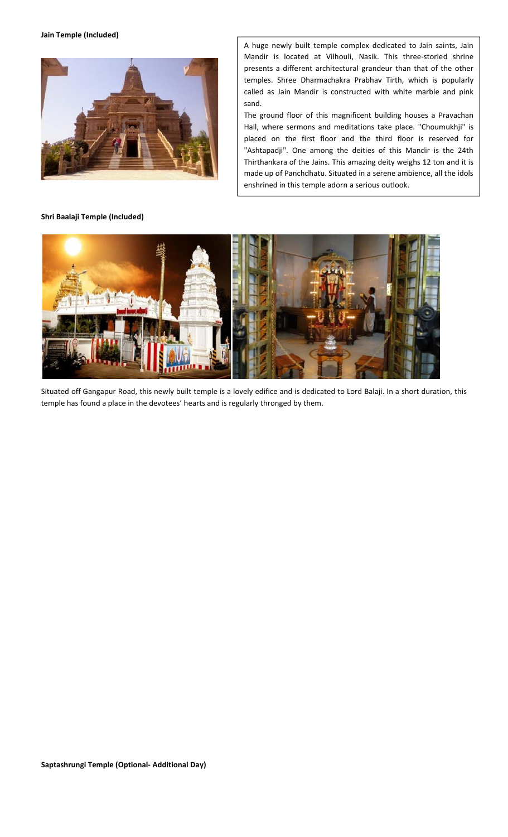**Jain Temple (Included)**



**Shri Baalaji Temple (Included)**

A huge newly built temple complex dedicated to Jain saints, Jain Mandir is located at Vilhouli, Nasik. This three-storied shrine presents a different architectural grandeur than that of the other temples. Shree Dharmachakra Prabhav Tirth, which is popularly called as Jain Mandir is constructed with white marble and pink sand.

The ground floor of this magnificent building houses a Pravachan Hall, where sermons and meditations take place. "Choumukhji" is placed on the first floor and the third floor is reserved for "Ashtapadji". One among the deities of this Mandir is the 24th Thirthankara of the Jains. This amazing deity weighs 12 ton and it is made up of Panchdhatu. Situated in a serene ambience, all the idols enshrined in this temple adorn a serious outlook.



Situated off Gangapur Road, this newly built temple is a lovely edifice and is dedicated to Lord Balaji. In a short duration, this temple has found a place in the devotees' hearts and is regularly thronged by them.